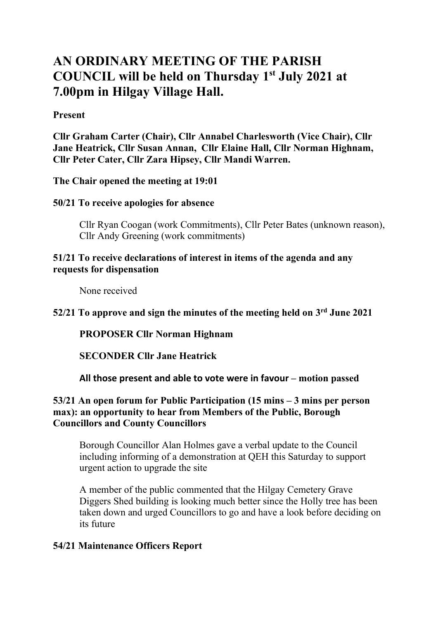# **AN ORDINARY MEETING OF THE PARISH COUNCIL will be held on Thursday 1 st July 2021 at 7.00pm in Hilgay Village Hall.**

### **Present**

**Cllr Graham Carter (Chair), Cllr Annabel Charlesworth (Vice Chair), Cllr Jane Heatrick, Cllr Susan Annan, Cllr Elaine Hall, Cllr Norman Highnam, Cllr Peter Cater, Cllr Zara Hipsey, Cllr Mandi Warren.**

**The Chair opened the meeting at 19:01**

**50/21 To receive apologies for absence**

Cllr Ryan Coogan (work Commitments), Cllr Peter Bates (unknown reason), Cllr Andy Greening (work commitments)

### **51/21 To receive declarations of interest in items of the agenda and any requests for dispensation**

None received

**52/21 To approve and sign the minutes of the meeting held on 3 rd June 2021**

**PROPOSER Cllr Norman Highnam**

**SECONDER Cllr Jane Heatrick**

**All those present and able to vote were in favour – motion passed**

### **53/21 An open forum for Public Participation (15 mins – 3 mins per person max): an opportunity to hear from Members of the Public, Borough Councillors and County Councillors**

Borough Councillor Alan Holmes gave a verbal update to the Council including informing of a demonstration at QEH this Saturday to support urgent action to upgrade the site

A member of the public commented that the Hilgay Cemetery Grave Diggers Shed building is looking much better since the Holly tree has been taken down and urged Councillors to go and have a look before deciding on its future

### **54/21 Maintenance Officers Report**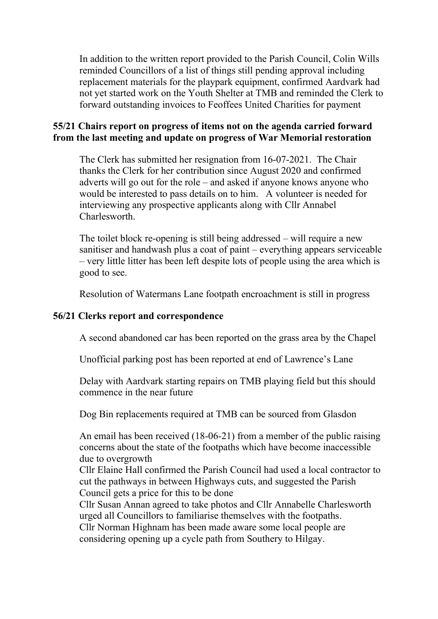In addition to the written report provided to the Parish Council, Colin Wills reminded Councillors of a list of things still pending approval including replacement materials for the playpark equipment, confirmed Aardvark had not yet started work on the Youth Shelter at TMB and reminded the Clerk to forward outstanding invoices to Feoffees United Charities for payment

### **55/21 Chairs report on progress of items not on the agenda carried forward from the last meeting and update on progress of War Memorial restoration**

The Clerk has submitted her resignation from 16-07-2021. The Chair thanks the Clerk for her contribution since August 2020 and confirmed adverts will go out for the role – and asked if anyone knows anyone who would be interested to pass details on to him. A volunteer is needed for interviewing any prospective applicants along with Cllr Annabel Charlesworth.

The toilet block re-opening is still being addressed – will require a new sanitiser and handwash plus a coat of paint – everything appears serviceable – very little litter has been left despite lots of people using the area which is good to see.

Resolution of Watermans Lane footpath encroachment is still in progress

### **56/21 Clerks report and correspondence**

A second abandoned car has been reported on the grass area by the Chapel

Unofficial parking post has been reported at end of Lawrence's Lane

Delay with Aardvark starting repairs on TMB playing field but this should commence in the near future

Dog Bin replacements required at TMB can be sourced from Glasdon

An email has been received (18-06-21) from a member of the public raising concerns about the state of the footpaths which have become inaccessible due to overgrowth

Cllr Elaine Hall confirmed the Parish Council had used a local contractor to cut the pathways in between Highways cuts, and suggested the Parish Council gets a price for this to be done

Cllr Susan Annan agreed to take photos and Cllr Annabelle Charlesworth urged all Councillors to familiarise themselves with the footpaths. Cllr Norman Highnam has been made aware some local people are

considering opening up a cycle path from Southery to Hilgay.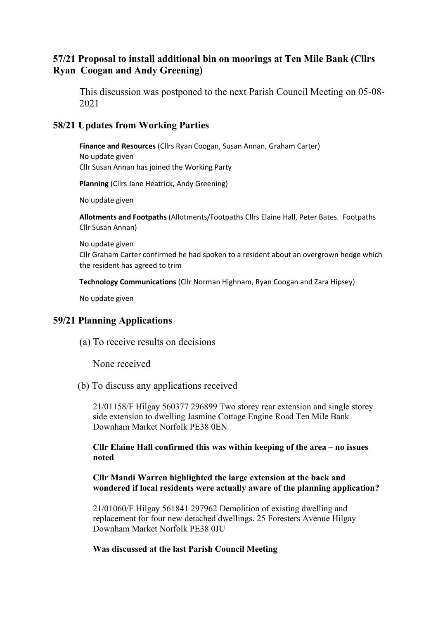### **57/21 Proposal to install additional bin on moorings at Ten Mile Bank (Cllrs Ryan Coogan and Andy Greening)**

This discussion was postponed to the next Parish Council Meeting on 05-08- 2021

### **58/21 Updates from Working Parties**

**Finance and Resources** (Cllrs Ryan Coogan, Susan Annan, Graham Carter) No update given Cllr Susan Annan has joined the Working Party

**Planning** (Cllrs Jane Heatrick, Andy Greening)

No update given

**Allotments and Footpaths** (Allotments/Footpaths Cllrs Elaine Hall, Peter Bates. Footpaths Cllr Susan Annan)

No update given Cllr Graham Carter confirmed he had spoken to a resident about an overgrown hedge which the resident has agreed to trim

**Technology Communications** (Cllr Norman Highnam, Ryan Coogan and Zara Hipsey)

No update given

#### **59/21 Planning Applications**

(a) To receive results on decisions

None received

(b) To discuss any applications received

21/01158/F Hilgay 560377 296899 Two storey rear extension and single storey side extension to dwelling Jasmine Cottage Engine Road Ten Mile Bank Downham Market Norfolk PE38 0EN

#### **Cllr Elaine Hall confirmed this was within keeping of the area – no issues noted**

#### **Cllr Mandi Warren highlighted the large extension at the back and wondered if local residents were actually aware of the planning application?**

21/01060/F Hilgay 561841 297962 Demolition of existing dwelling and replacement for four new detached dwellings. 25 Foresters Avenue Hilgay Downham Market Norfolk PE38 0JU

#### **Was discussed at the last Parish Council Meeting**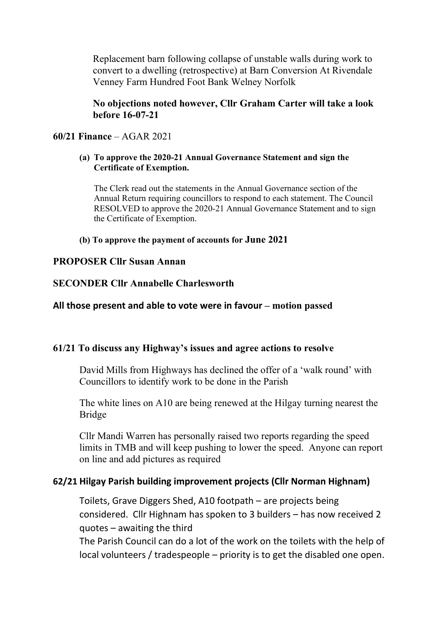Replacement barn following collapse of unstable walls during work to convert to a dwelling (retrospective) at Barn Conversion At Rivendale Venney Farm Hundred Foot Bank Welney Norfolk

### **No objections noted however, Cllr Graham Carter will take a look before 16-07-21**

### **60/21 Finance** – AGAR 2021

#### **(a) To approve the 2020-21 Annual Governance Statement and sign the Certificate of Exemption.**

The Clerk read out the statements in the Annual Governance section of the Annual Return requiring councillors to respond to each statement. The Council RESOLVED to approve the 2020-21 Annual Governance Statement and to sign the Certificate of Exemption.

#### **(b) To approve the payment of accounts for June 2021**

#### **PROPOSER Cllr Susan Annan**

### **SECONDER Cllr Annabelle Charlesworth**

#### **All those present and able to vote were in favour – motion passed**

#### **61/21 To discuss any Highway's issues and agree actions to resolve**

David Mills from Highways has declined the offer of a 'walk round' with Councillors to identify work to be done in the Parish

The white lines on A10 are being renewed at the Hilgay turning nearest the Bridge

Cllr Mandi Warren has personally raised two reports regarding the speed limits in TMB and will keep pushing to lower the speed. Anyone can report on line and add pictures as required

#### **62/21 Hilgay Parish building improvement projects (Cllr Norman Highnam)**

Toilets, Grave Diggers Shed, A10 footpath – are projects being considered. Cllr Highnam has spoken to 3 builders – has now received 2 quotes – awaiting the third

The Parish Council can do a lot of the work on the toilets with the help of local volunteers / tradespeople – priority is to get the disabled one open.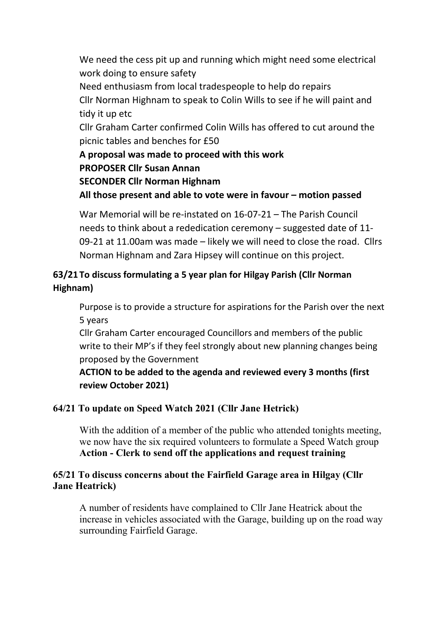We need the cess pit up and running which might need some electrical work doing to ensure safety

Need enthusiasm from local tradespeople to help do repairs

Cllr Norman Highnam to speak to Colin Wills to see if he will paint and tidy it up etc

Cllr Graham Carter confirmed Colin Wills has offered to cut around the picnic tables and benches for £50

**A proposal was made to proceed with this work PROPOSER Cllr Susan Annan**

**SECONDER Cllr Norman Highnam**

**All those present and able to vote were in favour – motion passed**

War Memorial will be re-instated on 16-07-21 – The Parish Council needs to think about a rededication ceremony – suggested date of 11- 09-21 at 11.00am was made – likely we will need to close the road. Cllrs Norman Highnam and Zara Hipsey will continue on this project.

# **63/21 To discuss formulating a 5 year plan for Hilgay Parish (Cllr Norman Highnam)**

Purpose is to provide a structure for aspirations for the Parish over the next 5 years

Cllr Graham Carter encouraged Councillors and members of the public write to their MP's if they feel strongly about new planning changes being proposed by the Government

**ACTION to be added to the agenda and reviewed every 3 months (first review October 2021)**

# **64/21 To update on Speed Watch 2021 (Cllr Jane Hetrick)**

With the addition of a member of the public who attended tonights meeting, we now have the six required volunteers to formulate a Speed Watch group **Action - Clerk to send off the applications and request training**

## **65/21 To discuss concerns about the Fairfield Garage area in Hilgay (Cllr Jane Heatrick)**

A number of residents have complained to Cllr Jane Heatrick about the increase in vehicles associated with the Garage, building up on the road way surrounding Fairfield Garage.